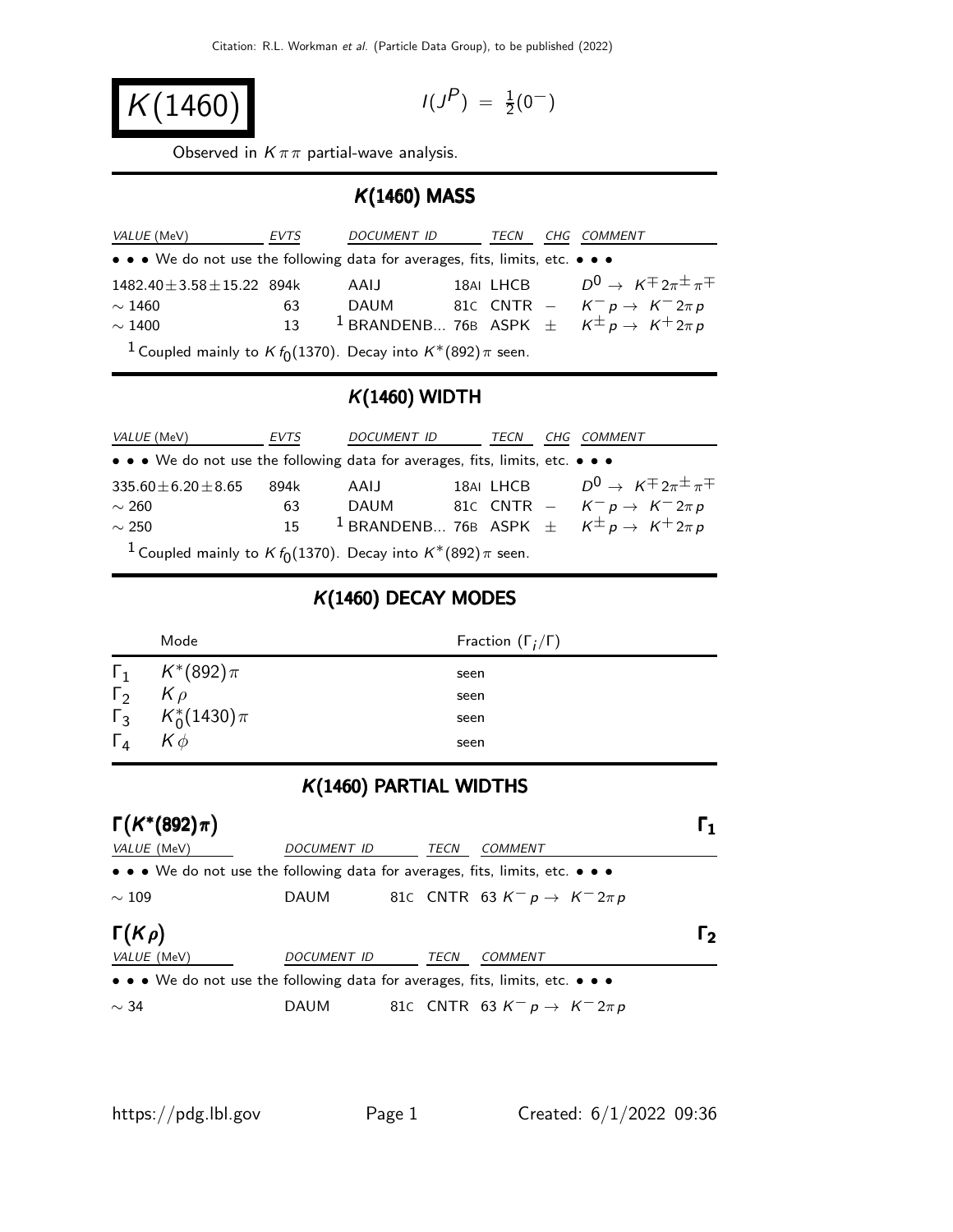$$
K(1460) \qquad \qquad
$$

$$
I(J^P) \; = \; {\textstyle \frac{1}{2}} (0^-)
$$

Observed in  $K \pi \pi$  partial-wave analysis.

#### K(1460) MASS

| <i>VALUE</i> (MeV)                                                                   | EVTS | DOCUMENT ID | TECN | CHG COMMENT                                                                                                             |
|--------------------------------------------------------------------------------------|------|-------------|------|-------------------------------------------------------------------------------------------------------------------------|
| • • • We do not use the following data for averages, fits, limits, etc. • • •        |      |             |      |                                                                                                                         |
| $1482.40 \pm 3.58 \pm 15.22$ 894k                                                    |      | AAIJ        |      | 18AI LHCB $D^0 \rightarrow K^{\pm} 2\pi^{\pm} \pi^{\mp}$                                                                |
| $\sim$ 1460                                                                          | 63   |             |      |                                                                                                                         |
| $\sim$ 1400                                                                          | 13   |             |      | DAUM 81c CNTR – $K^- p \rightarrow K^- 2\pi p$<br><sup>1</sup> BRANDENB 76B ASPK $\pm K^{\pm} p \rightarrow K^+ 2\pi p$ |
| <sup>1</sup> Coupled mainly to <i>K</i> $f_0(1370)$ . Decay into $K^*(892)\pi$ seen. |      |             |      |                                                                                                                         |

## $K(1460)$  WIDTH

| <i>VALUE</i> (MeV)                                                                   | EVTS            | DOCUMENT ID |  | TECN |  | CHG COMMENT                                                               |
|--------------------------------------------------------------------------------------|-----------------|-------------|--|------|--|---------------------------------------------------------------------------|
| • • • We do not use the following data for averages, fits, limits, etc. • • •        |                 |             |  |      |  |                                                                           |
| $335.60 \pm 6.20 \pm 8.65$                                                           | 894k            | AAIJ        |  |      |  | 18AI LHCB $D^0 \rightarrow K^{\pm} 2\pi^{\pm} \pi^{\mp}$                  |
| $\sim$ 260                                                                           | 63              |             |  |      |  | DAUM 81C CNTR – $K^- p \rightarrow K^- 2\pi p$                            |
| $\sim$ 250                                                                           | 15 <sub>1</sub> |             |  |      |  | <sup>1</sup> BRANDENB 76B ASPK $\pm$ $K^{\pm}p \rightarrow K^{\pm}2\pi p$ |
| <sup>1</sup> Coupled mainly to <i>K</i> $f_0(1370)$ . Decay into $K^*(892)\pi$ seen. |                 |             |  |      |  |                                                                           |

### K(1460) DECAY MODES

|              | Mode                        | Fraction $(\Gamma_i/\Gamma)$ |
|--------------|-----------------------------|------------------------------|
|              | $\Gamma_1$ $K^*(892)\pi$    | seen                         |
| $\Gamma_2$   | $K \rho$                    | seen                         |
|              | $\Gamma_3$ $K_0^*(1430)\pi$ | seen                         |
| $\Gamma_{4}$ | $K\phi$                     | seen                         |

## K(1460) PARTIAL WIDTHS

| $\Gamma(K^*(892)\pi)$                                                                                                 |             |      |                                            | I 1      |
|-----------------------------------------------------------------------------------------------------------------------|-------------|------|--------------------------------------------|----------|
| VALUE (MeV)                                                                                                           | DOCUMENT ID | TECN | <b>COMMENT</b>                             |          |
| $\bullet \bullet \bullet$ We do not use the following data for averages, fits, limits, etc. $\bullet \bullet \bullet$ |             |      |                                            |          |
| $\sim 109$                                                                                                            | <b>DAUM</b> |      | 81c CNTR 63 $K^- p \rightarrow K^- 2\pi p$ |          |
| $\Gamma(K\rho)$                                                                                                       |             |      |                                            | <b>י</b> |
| <i>VALUE</i> (MeV)                                                                                                    | DOCUMENT ID | TECN | COMMENT                                    |          |
| • • • We do not use the following data for averages, fits, limits, etc. • • •                                         |             |      |                                            |          |
| $\sim$ 34                                                                                                             | DAUM        |      | 81c CNTR 63 $K^- p \rightarrow K^- 2\pi p$ |          |